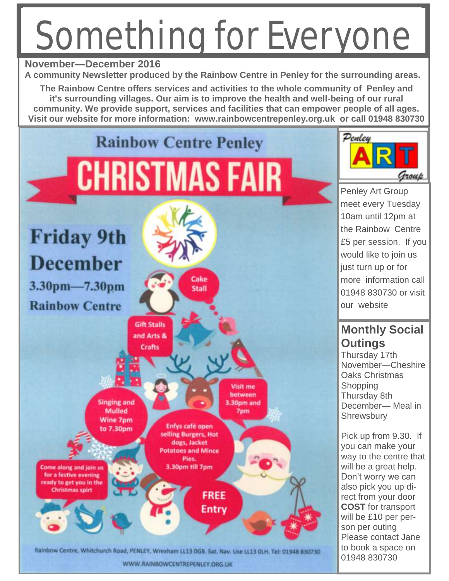# Something for Everyone



WWW.RAINBOWCENTREPENLEY.ORG.UK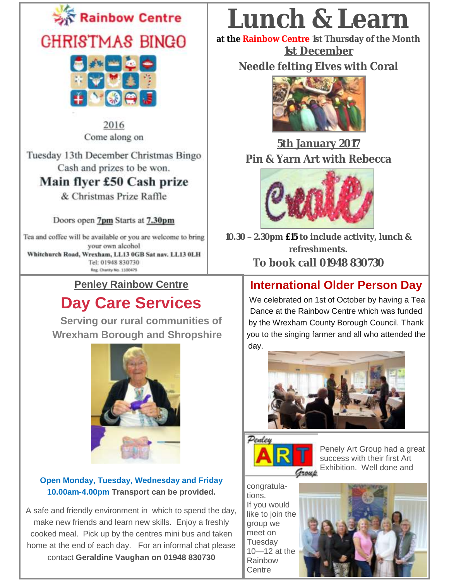



2016 Come along on

Tuesday 13th December Christmas Bingo Cash and prizes to be won.

### Main flyer £50 Cash prize

& Christmas Prize Raffle

Doors open 7pm Starts at 7.30pm

Tea and coffee will be available or you are welcome to bring your own alcohol Whitehurch Road, Wrexham, LL13 0GB Sat nav. LL13 0LH Tel: 01948 830730

Reg. Charity No. 1100479

### **Penley Rainbow Centre**

### **Day Care Services**

 **Serving our rural communities of Wrexham Borough and Shropshire**



#### **Open Monday, Tuesday, Wednesday and Friday 10.00am-4.00pm Transport can be provided.**

A safe and friendly environment in which to spend the day, make new friends and learn new skills. Enjoy a freshly cooked meal. Pick up by the centres mini bus and taken home at the end of each day. For an informal chat please contact **Geraldine Vaughan on 01948 830730** 

# **Lunch & Learn**

**at the Rainbow Centre 1st Thursday of the Month 1st December**

**Needle felting Elves with Coral**



### **5th January 2017 Pin & Yarn Art with Rebecca**



**10.30 – 2.30pm £15 to include activity, lunch & refreshments. To book call 01948 830730**

### **[International Older Person](http://www.un.org/en/events/olderpersonsday/index.shtml) Day**

We celebrated on 1st of October by having a Tea Dance at the Rainbow Centre which was funded by the Wrexham County Borough Council. Thank you to the singing farmer and all who attended the day.





Penely Art Group had a great success with their first Art **Group** Exhibition. Well done and

congratulations. If you would like to join the group we meet on **Tuesdav** 10—12 at the Rainbow **Centre** 

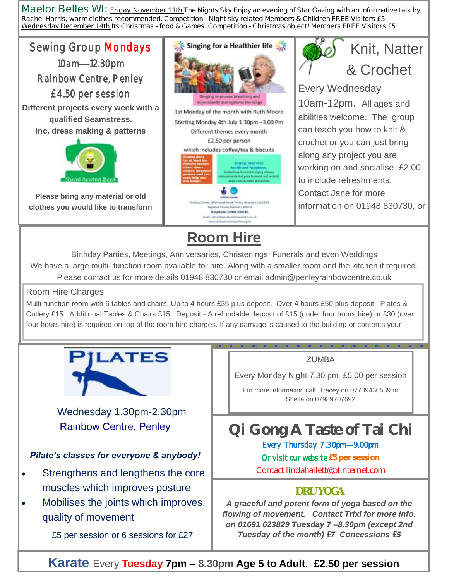**Maelor Belles WI: Friday November 11th The Nights Sky Enjoy an evening of Star Gazing with an informative talk by Rachel Harris, warm clothes recommended. Competition - Night sky related Members & Children FREE Visitors £5 Wednesday December 14th Its Christmas - food & Games. Competition - Christmas object! Members FREE Visitors £5**



**Karate** Every **Tuesday 7pm – 8.30pm Age 5 to Adult. £2.50 per session**